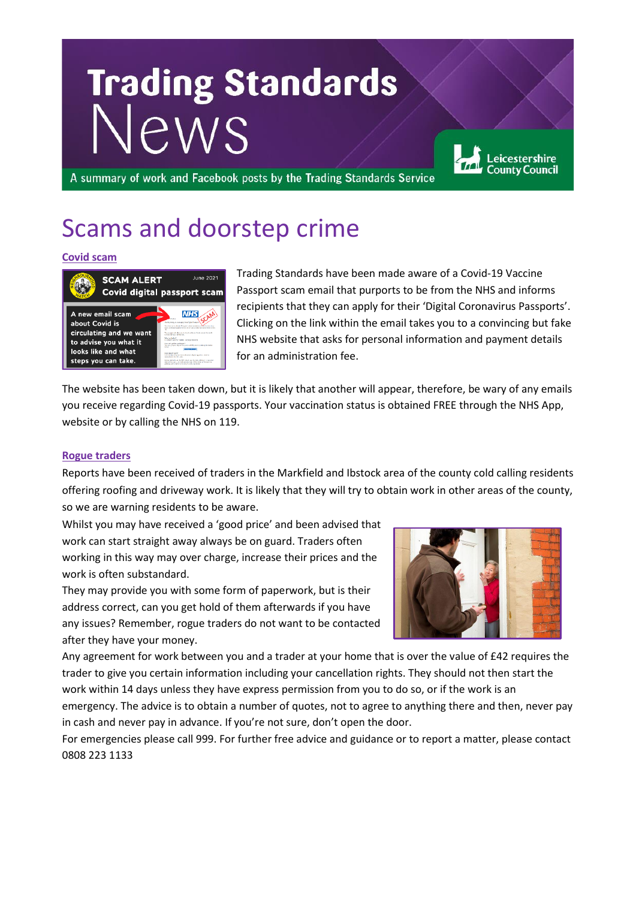# **Trading Standards News**

A summary of work and Facebook posts by the Trading Standards Service

# Scams and doorstep crime

#### **Covid scam**



Trading Standards have been made aware of a Covid-19 Vaccine Passport scam email that purports to be from the NHS and informs recipients that they can apply for their 'Digital Coronavirus Passports'. Clicking on the link within the email takes you to a convincing but fake NHS website that asks for personal information and payment details for an administration fee.

The website has been taken down, but it is likely that another will appear, therefore, be wary of any emails you receive regarding Covid-19 passports. Your vaccination status is obtained FREE through the NHS App, website or by calling the NHS on 119.

#### **Rogue traders**

Reports have been received of traders in the Markfield and Ibstock area of the county cold calling residents offering roofing and driveway work. It is likely that they will try to obtain work in other areas of the county, so we are warning residents to be aware.

Whilst you may have received a 'good price' and been advised that work can start straight away always be on guard. Traders often working in this way may over charge, increase their prices and the work is often substandard.

They may provide you with some form of paperwork, but is their address correct, can you get hold of them afterwards if you have any issues? Remember, rogue traders do not want to be contacted after they have your money.



Leicestershire **County Council** 

Any agreement for work between you and a trader at your home that is over the value of £42 requires the trader to give you certain information including your cancellation rights. They should not then start the work within 14 days unless they have express permission from you to do so, or if the work is an

emergency. The advice is to obtain a number of quotes, not to agree to anything there and then, never pay in cash and never pay in advance. If you're not sure, don't open the door.

For emergencies please call 999. For further free advice and guidance or to report a matter, please contact 0808 223 1133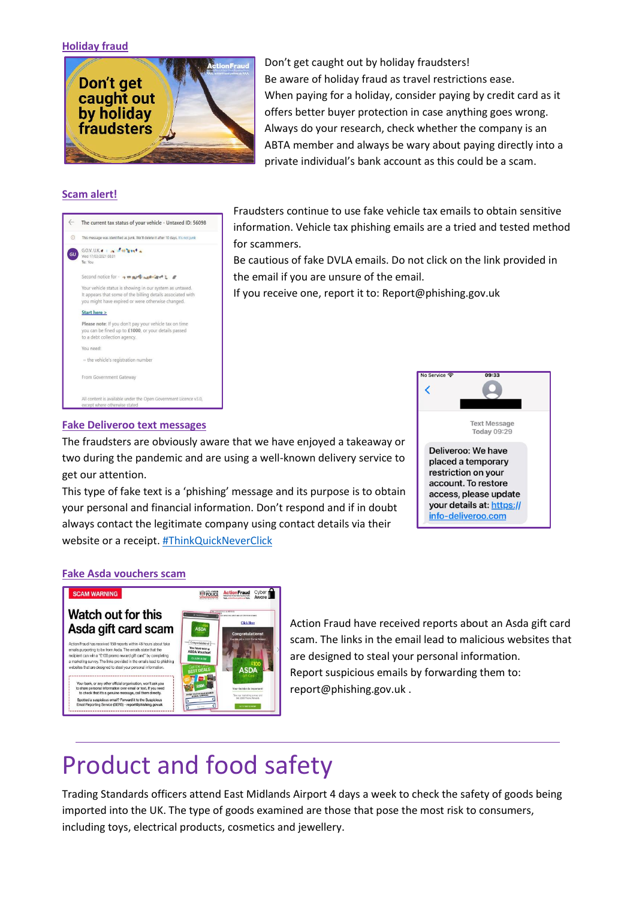#### **Holiday fraud**



Don't get caught out by holiday fraudsters! Be aware of holiday fraud as travel restrictions ease. When paying for a holiday, consider paying by credit card as it offers better buyer protection in case anything goes wrong. Always do your research, check whether the company is an ABTA member and always be wary about paying directly into a private individual's bank account as this could be a scam.

#### **Scam alert!**



Fraudsters continue to use fake vehicle tax emails to obtain sensitive information. Vehicle tax phishing emails are a tried and tested method for scammers.

Be cautious of fake DVLA emails. Do not click on the link provided in the email if you are unsure of the email.

If you receive one, report it to: Report@phishing.gov.uk

#### **Fake Deliveroo text messages**

The fraudsters are obviously aware that we have enjoyed a takeaway or two during the pandemic and are using a well-known delivery service to get our attention.

This type of fake text is a 'phishing' message and its purpose is to obtain your personal and financial information. Don't respond and if in doubt always contact the legitimate company using contact details via their website or a receipt. [#ThinkQuickNeverClick](https://www.facebook.com/hashtag/thinkquickneverclick?__cft__%5b0%5d=AZUomFYSDeJ82ZYBHijSkXyCErJ-VHNb4uTC2xjyCN6evN42s33bxaipuZrloWt8Hy102MiEruxbAOOzhWLnre_8ubyymDJDNEQNuXt95RECIpqtBtO7iv9Jp_rRU1uZqFwJiORX3QwZO03JHItgqxEp5jlb_zEaSJgz3Pv0J4izCg&__tn__=*NK-R)



#### **Fake Asda vouchers scam**



[Action](https://www.facebook.com/actionfraud/?__cft__%5b0%5d=AZWh1oTWxOq6DOHMLIkWxbMLz163WtB27zRsFdgbF1YV7tw5tYikOE9_3j8Vf619yRDNckAH8ZBn7tU0cx3L6IA64_V_HolUBia58f2D7HpjIF9_XR3_-ITFu0I3ge6lg-QbuXNYFSXSvkC-3yAn2KOJbQpxC11fQ65jJSK_K9xLMlEFUijlB_fvvrjdnr3QAdY&__tn__=kK-R) Fraud have received reports about an Asda gift card scam. The links in the email lead to malicious websites that are designed to steal your personal information. Report suspicious emails by forwarding them to: report@phishing.gov.uk .

### Product and food safety

Trading Standards officers attend East Midlands Airport 4 days a week to check the safety of goods being imported into the UK. The type of goods examined are those that pose the most risk to consumers, including toys, electrical products, cosmetics and jewellery.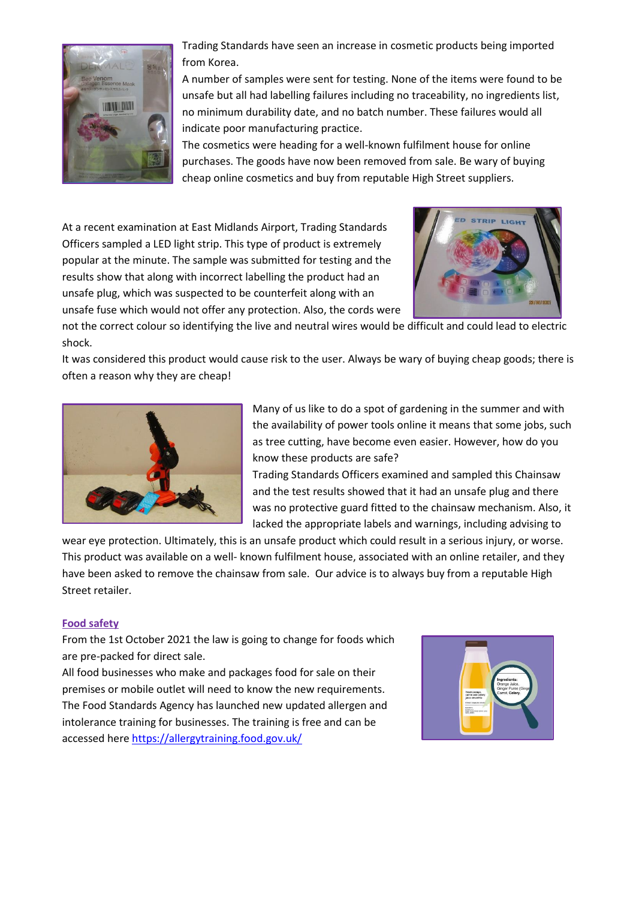

Trading Standards have seen an increase in cosmetic products being imported from Korea.

A number of samples were sent for testing. None of the items were found to be unsafe but all had labelling failures including no traceability, no ingredients list, no minimum durability date, and no batch number. These failures would all indicate poor manufacturing practice.

The cosmetics were heading for a well-known fulfilment house for online purchases. The goods have now been removed from sale. Be wary of buying cheap online cosmetics and buy from reputable High Street suppliers.

At a recent examination at East Midlands Airport, Trading Standards Officers sampled a LED light strip. This type of product is extremely popular at the minute. The sample was submitted for testing and the results show that along with incorrect labelling the product had an unsafe plug, which was suspected to be counterfeit along with an unsafe fuse which would not offer any protection. Also, the cords were



not the correct colour so identifying the live and neutral wires would be difficult and could lead to electric shock.

It was considered this product would cause risk to the user. Always be wary of buying cheap goods; there is often a reason why they are cheap!



Many of us like to do a spot of gardening in the summer and with the availability of power tools online it means that some jobs, such as tree cutting, have become even easier. However, how do you know these products are safe?

Trading Standards Officers examined and sampled this Chainsaw and the test results showed that it had an unsafe plug and there was no protective guard fitted to the chainsaw mechanism. Also, it lacked the appropriate labels and warnings, including advising to

wear eye protection. Ultimately, this is an unsafe product which could result in a serious injury, or worse. This product was available on a well- known fulfilment house, associated with an online retailer, and they have been asked to remove the chainsaw from sale. Our advice is to always buy from a reputable High Street retailer.

#### **Food safety**

From the 1st October 2021 the law is going to change for foods which are pre-packed for direct sale.

All food businesses who make and packages food for sale on their premises or mobile outlet will need to know the new requirements. The Food Standards Agency has launched new updated allergen and intolerance training for businesses. The training is free and can be accessed her[e https://allergytraining.food.gov.uk/](https://allergytraining.food.gov.uk/?fbclid=IwAR2rx_WaDAek-vpVLhypPT9BfVsk75P7pCljWh3r_1WJdxjWCVUnbPRZlFc)

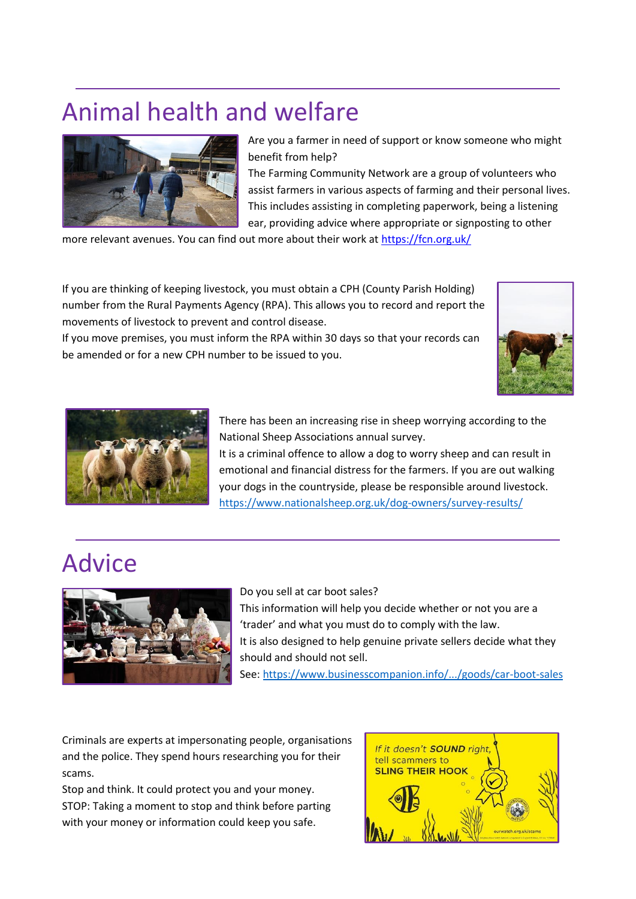## Animal health and welfare



Are you a farmer in need of support or know someone who might benefit from help?

The Farming Community Network are a group of volunteers who assist farmers in various aspects of farming and their personal lives. This includes assisting in completing paperwork, being a listening ear, providing advice where appropriate or signposting to other

more relevant avenues. You can find out more about their work at [https://fcn.org.uk/](https://fcn.org.uk/?fbclid=IwAR2Dp5mRanOPyvqGUaC0_XB6y7Gro3Z0ZeDfV9ylFt9aTSjfR1MZS8tYE20)

If you are thinking of keeping livestock, you must obtain a CPH (County Parish Holding) number from the Rural Payments Agency (RPA). This allows you to record and report the movements of livestock to prevent and control disease.

If you move premises, you must inform the RPA within 30 days so that your records can be amended or for a new CPH number to be issued to you.





There has been an increasing rise in sheep worrying according to the National Sheep Associations annual survey.

It is a criminal offence to allow a dog to worry sheep and can result in emotional and financial distress for the farmers. If you are out walking your dogs in the countryside, please be responsible around livestock. [https://www.nationalsheep.org.uk/dog-owners/survey-results/](https://www.nationalsheep.org.uk/dog-owners/survey-results/?fbclid=IwAR3zy01_Je-pofFx5zYfzoqcW1huzt1xBPerwKaREUHqQWzoXnxFtJqEAW0)

### Advice



Do you sell at car boot sales? This information will help you decide whether or not you are a 'trader' and what you must do to comply with the law. It is also designed to help genuine private sellers decide what they should and should not sell.

See: [https://www.businesscompanion.info/.../goods/car-boot-sales](https://www.businesscompanion.info/en/quick-guides/goods/car-boot-sales?fbclid=IwAR1jAM7rdXB0_ZRJUtafwl60QG1Z7_axeOE6lS_SYYOzElkN4dWAD44vOjo)

Criminals are experts at impersonating people, organisations and the police. They spend hours researching you for their scams.

Stop and think. It could protect you and your money. STOP: Taking a moment to stop and think before parting with your money or information could keep you safe.